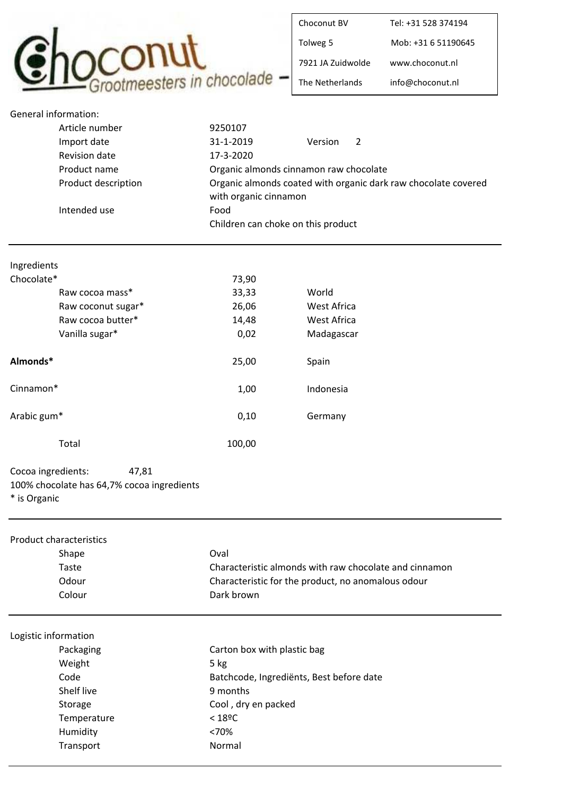

| Choconut BV       | Tel: +31 528 374194 |
|-------------------|---------------------|
| Tolweg 5          | Mob: +31 6 51190645 |
| 7921 IA Zuidwolde | www.choconut.nl     |
| The Netherlands   | info@choconut.nl    |

|             | <b>General information:</b> |                                    |                                                                |
|-------------|-----------------------------|------------------------------------|----------------------------------------------------------------|
|             | Article number              | 9250107                            |                                                                |
|             | Import date                 | 31-1-2019                          | 2<br>Version                                                   |
|             | <b>Revision date</b>        | 17-3-2020                          |                                                                |
|             | Product name                |                                    | Organic almonds cinnamon raw chocolate                         |
|             | Product description         |                                    | Organic almonds coated with organic dark raw chocolate covered |
|             |                             | with organic cinnamon              |                                                                |
|             | Intended use                | Food                               |                                                                |
|             |                             | Children can choke on this product |                                                                |
|             |                             |                                    |                                                                |
| Ingredients |                             |                                    |                                                                |
| Chocolate*  |                             | 73,90                              |                                                                |
|             | Raw cocoa mass*             | 33,33                              | World                                                          |
|             | Raw coconut sugar*          | 26,06                              | West Africa                                                    |
|             | Raw cocoa butter*           | 14,48                              | <b>West Africa</b>                                             |
|             | Vanilla sugar*              | 0,02                               | Madagascar                                                     |
| Almonds*    |                             | 25,00                              | Spain                                                          |
| Cinnamon*   |                             | 1,00                               | Indonesia                                                      |
| Arabic gum* |                             | 0,10                               | Germany                                                        |
|             | Total                       | 100,00                             |                                                                |

| Cocoa ingredients:                         | 47.81 |
|--------------------------------------------|-------|
| 100% chocolate has 64,7% cocoa ingredients |       |
| * is Organic                               |       |

| Oval                                                   |  |
|--------------------------------------------------------|--|
| Characteristic almonds with raw chocolate and cinnamon |  |
| Characteristic for the product, no anomalous odour     |  |
| Dark brown                                             |  |
|                                                        |  |
| Carton box with plastic bag                            |  |
| $5$ kg                                                 |  |
| Batchcode, Ingrediënts, Best before date               |  |
| 9 months                                               |  |
| Cool, dry en packed                                    |  |
| $<$ 18ºC                                               |  |
| <70%                                                   |  |
| Normal                                                 |  |
|                                                        |  |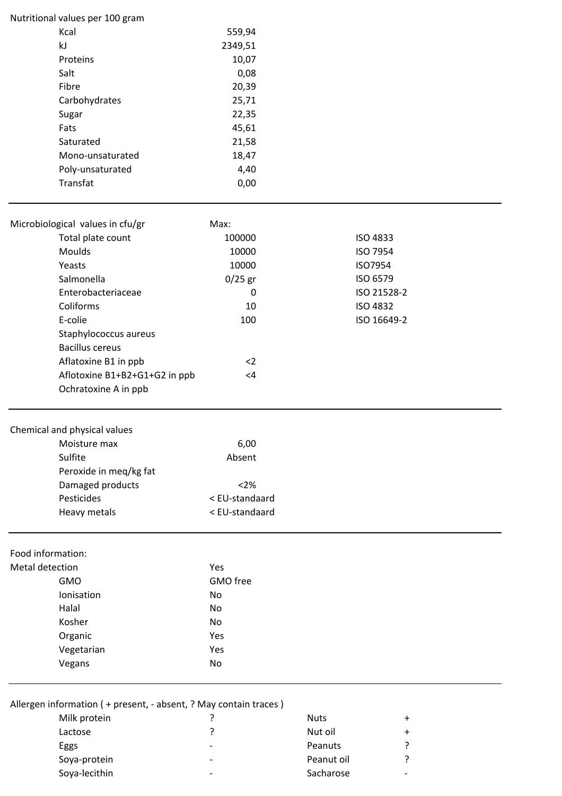|                 | Nutritional values per 100 gram                                    |                |             |             |  |
|-----------------|--------------------------------------------------------------------|----------------|-------------|-------------|--|
|                 | Kcal                                                               | 559,94         |             |             |  |
|                 | kJ                                                                 | 2349,51        |             |             |  |
|                 | Proteins                                                           | 10,07          |             |             |  |
|                 | Salt                                                               | 0,08           |             |             |  |
|                 | Fibre                                                              | 20,39          |             |             |  |
|                 | Carbohydrates                                                      | 25,71          |             |             |  |
|                 | Sugar                                                              | 22,35          |             |             |  |
|                 | Fats                                                               | 45,61          |             |             |  |
|                 | Saturated                                                          | 21,58          |             |             |  |
|                 | Mono-unsaturated                                                   | 18,47          |             |             |  |
|                 | Poly-unsaturated                                                   | 4,40           |             |             |  |
|                 | Transfat                                                           | 0,00           |             |             |  |
|                 | Microbiological values in cfu/gr                                   | Max:           |             |             |  |
|                 | Total plate count                                                  | 100000         |             | ISO 4833    |  |
|                 | Moulds                                                             | 10000          |             | ISO 7954    |  |
|                 | Yeasts                                                             | 10000          |             | ISO7954     |  |
|                 | Salmonella                                                         | $0/25$ gr      |             | ISO 6579    |  |
|                 | Enterobacteriaceae                                                 | 0              |             | ISO 21528-2 |  |
|                 | Coliforms                                                          | 10             |             | ISO 4832    |  |
|                 | E-colie                                                            | 100            |             | ISO 16649-2 |  |
|                 | Staphylococcus aureus                                              |                |             |             |  |
|                 | <b>Bacillus cereus</b>                                             |                |             |             |  |
|                 | Aflatoxine B1 in ppb                                               | $2$            |             |             |  |
|                 | Aflotoxine B1+B2+G1+G2 in ppb                                      | $<4\,$         |             |             |  |
|                 | Ochratoxine A in ppb                                               |                |             |             |  |
|                 |                                                                    |                |             |             |  |
|                 | Chemical and physical values                                       |                |             |             |  |
|                 | Moisture max                                                       | 6,00           |             |             |  |
|                 | Sulfite                                                            | Absent         |             |             |  |
|                 | Peroxide in meq/kg fat                                             |                |             |             |  |
|                 | Damaged products                                                   | $<2\%$         |             |             |  |
|                 | Pesticides                                                         | < EU-standaard |             |             |  |
|                 | Heavy metals                                                       | < EU-standaard |             |             |  |
|                 | Food information:                                                  |                |             |             |  |
| Metal detection |                                                                    | Yes            |             |             |  |
|                 | <b>GMO</b>                                                         | GMO free       |             |             |  |
|                 | Ionisation                                                         | No             |             |             |  |
|                 | Halal                                                              | No             |             |             |  |
|                 | Kosher                                                             | No             |             |             |  |
|                 | Organic                                                            | Yes            |             |             |  |
|                 | Vegetarian                                                         | Yes            |             |             |  |
|                 | Vegans                                                             | No             |             |             |  |
|                 | Allergen information ( + present, - absent, ? May contain traces ) |                |             |             |  |
|                 | Milk protein                                                       | ?              | <b>Nuts</b> | $\ddot{}$   |  |
|                 | Lactose                                                            | ?              | Nut oil     | $\ddot{}$   |  |
|                 |                                                                    |                |             |             |  |

| Eggs          | $\overline{\phantom{0}}$ | Peanuts    |   |
|---------------|--------------------------|------------|---|
| Soya-protein  | $\overline{\phantom{0}}$ | Peanut oil |   |
| Soya-lecithin | $\overline{\phantom{0}}$ | Sacharose  | - |